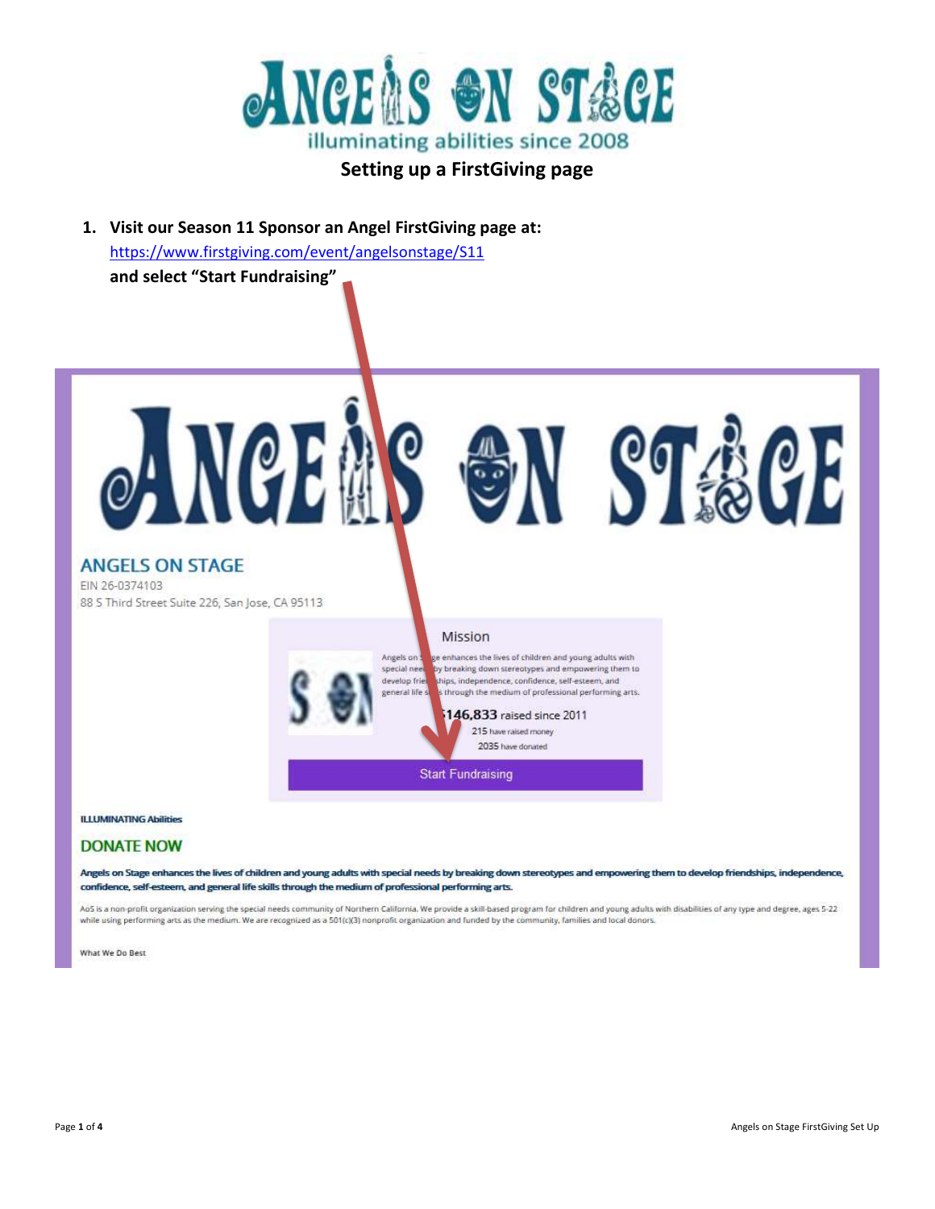

### **Setting up a FirstGiving page**

**1. Visit our Season 11 Sponsor an Angel FirstGiving page at:**  <https://www.firstgiving.com/event/angelsonstage/S11> **and select "Start Fundraising"**

EMS ON STACE **ANGELS ON STAGE** EIN 26-0374103 88 S Third Street Suite 226, San Jose, CA 95113 Mission Angels on je enhances the lives of children and young adults with special nee by breaking down stereotypes and empowering them to develop frie hips, independence, confidence, self-esteem, and general life s s through the medium of professional performing arts. 146,833 raised since 2011 215 have raised money 2035 have donated **Start Fundraising** 

#### **ILLUMINATING Abilities**

#### **DONATE NOW**

Angels on Stage enhances the lives of children and young adults with special needs by breaking down stereotypes and empowering them to develop friendships, independence, confidence, self-esteem, and general life skills through the medium of professional performing arts.

AoS is a non-profit organization serving the special needs community of Northern California. We provide a skill-based program for children and young adults with disabilities of any type and degree, ages 5-22 while using performing arts as the medium. We are recognized as a 501(c)(3) nonprofit organization and funded by the community, families and local donors.

What We Do Best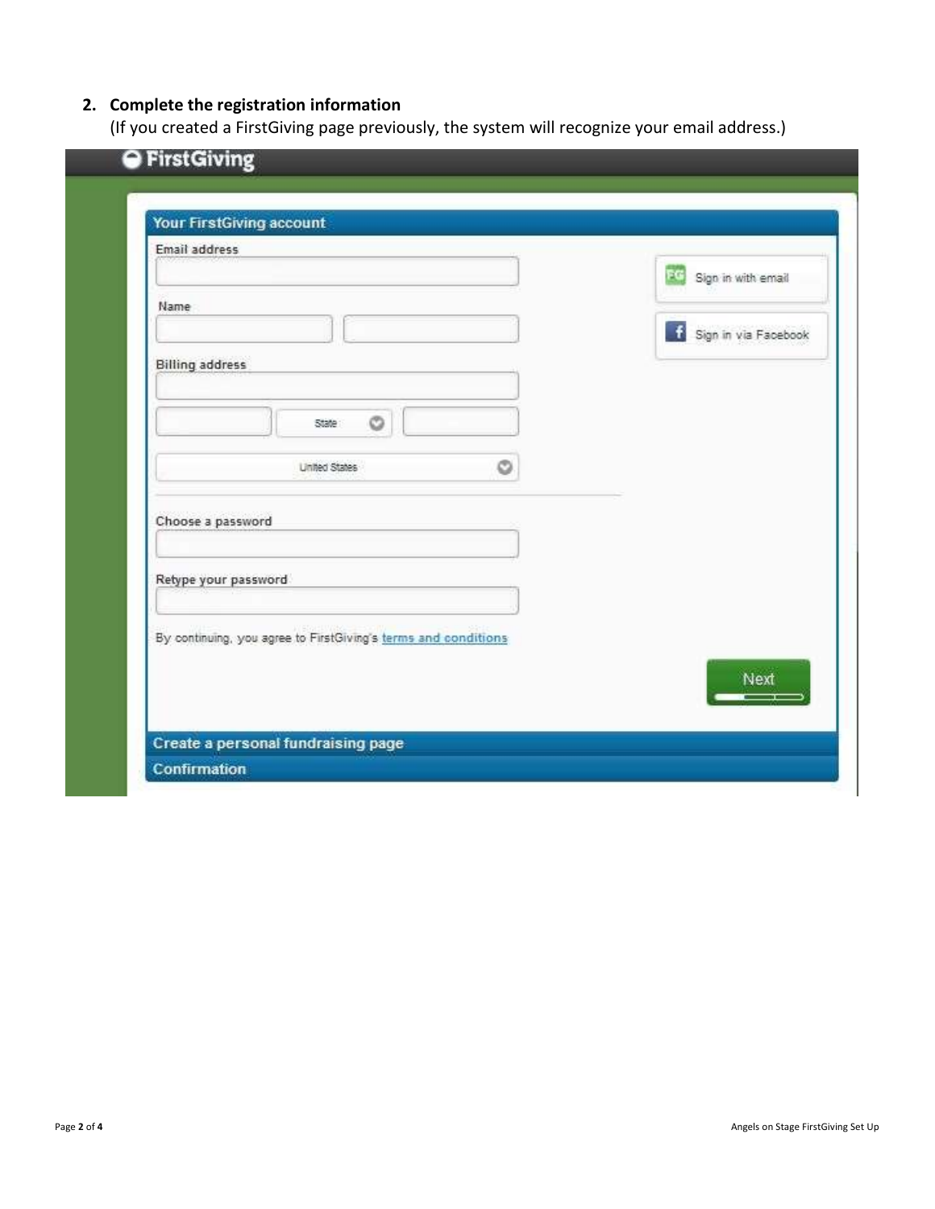## **2. Complete the registration information**

(If you created a FirstGiving page previously, the system will recognize your email address.)

| Email address          |                                                                |   |                       |
|------------------------|----------------------------------------------------------------|---|-----------------------|
|                        |                                                                |   | RC Sign in with email |
| Name                   |                                                                |   | Sign in via Facebook  |
| <b>Billing address</b> |                                                                |   |                       |
|                        |                                                                |   |                       |
|                        | O<br>State :                                                   |   |                       |
|                        | <b>United States</b>                                           | O |                       |
|                        |                                                                |   |                       |
| Choose a password      |                                                                |   |                       |
|                        |                                                                |   |                       |
| Retype your password   |                                                                |   |                       |
|                        |                                                                |   |                       |
|                        | By continuing, you agree to FirstGiving's terms and conditions |   |                       |
|                        |                                                                |   | Next                  |
|                        |                                                                |   |                       |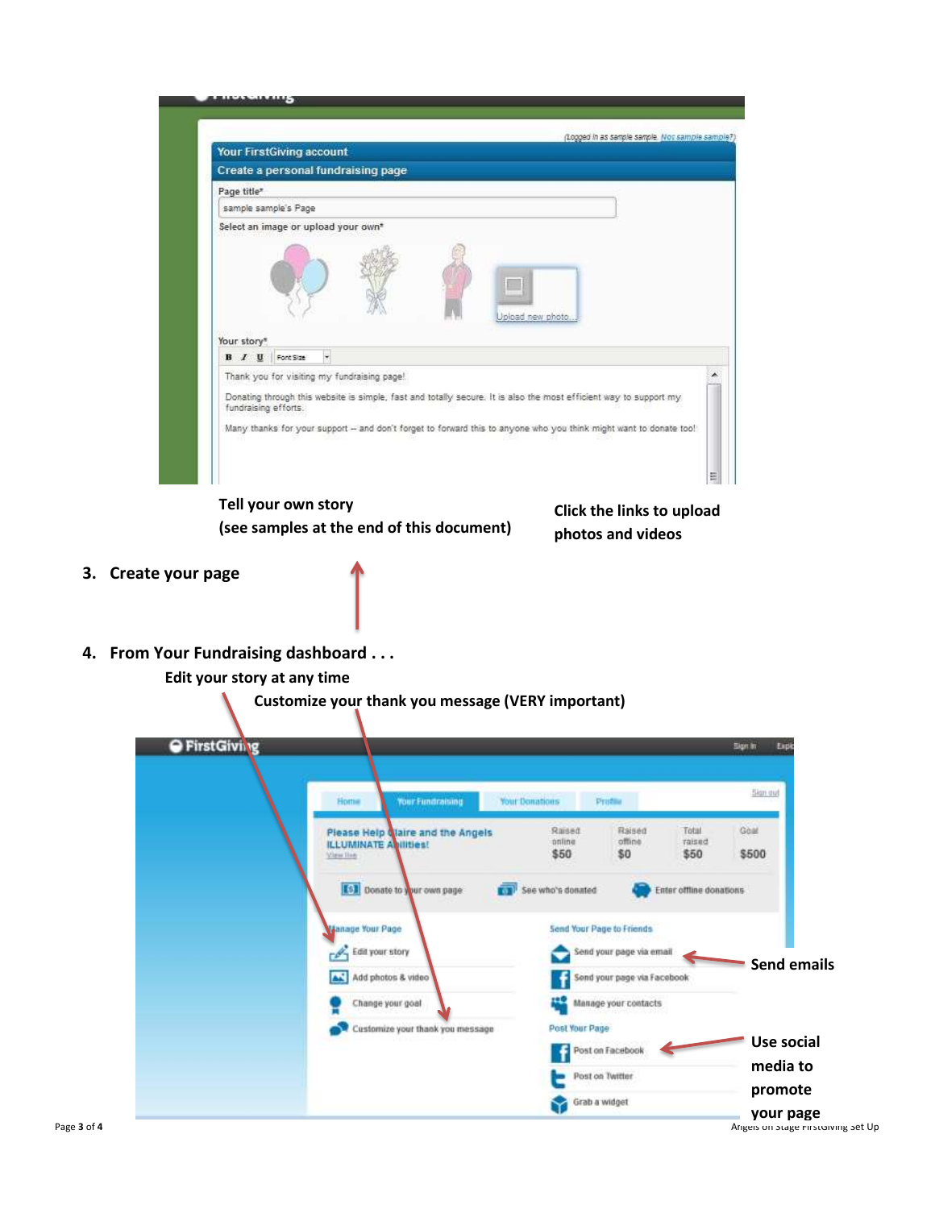|                                      | Your FirstGiving account                                                                                           |
|--------------------------------------|--------------------------------------------------------------------------------------------------------------------|
|                                      | Create a personal fundraising page                                                                                 |
| Page title*                          |                                                                                                                    |
|                                      | sample sample's Page                                                                                               |
|                                      | Select an image or upload your own*                                                                                |
|                                      |                                                                                                                    |
| <b>B</b> <i>I</i> <b>U</b> Font Size | Upload new photo<br>×,                                                                                             |
|                                      | Thank you for visiting my fundraising page!                                                                        |
| fundraising efforts.                 | Donating through this website is simple, fast and totally secure. It is also the most efficient way to support my  |
| Your story*                          | Many thanks for your support -- and don't forget to forward this to anyone who you think might want to donate too! |
|                                      |                                                                                                                    |

**(see samples at the end of this document)**

**Click the links to upload photos and videos**

- **3. Create your page**
- **4. From Your Fundraising dashboard . . .**

**Edit your story at any time**

**Customize your thank you message (VERY important)**

| Home<br><b>Your Fundraising</b>                                                | <b>Your Donations</b><br>Profile                      | Sign out                                 |
|--------------------------------------------------------------------------------|-------------------------------------------------------|------------------------------------------|
| Please Help Qlaire and the Angels<br><b>ILLUMINATE Avilities!</b><br>View live | Raised<br>Raised<br>offine<br>online<br>\$50<br>\$0   | Goat<br>Total<br>raised<br>\$500<br>\$50 |
| [5] Donate to your own page<br><b>CON</b>                                      | See who's donated                                     | Enter offline donations                  |
| Manage Your Page<br>$\mathscr{P}_1$ Edit your story                            | Send Your Page to Friends<br>Send your page via email |                                          |
| AS.<br>Add photos & video                                                      | Send your page via Facebook                           | <b>Send emails</b>                       |
| Change your goal                                                               | Manage your contacts                                  |                                          |
| Customize your thank you message                                               | Post Your Page                                        | <b>Use social</b>                        |
|                                                                                | Post on Facebook                                      | media to                                 |
|                                                                                | Post on Twitter<br>ь                                  |                                          |
|                                                                                | Grab a widget                                         | promote                                  |